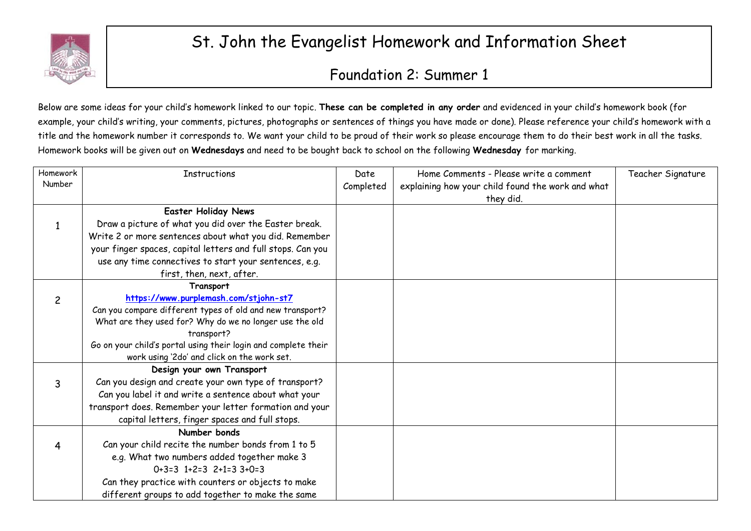

## St. John the Evangelist Homework and Information Sheet

## Foundation 2: Summer 1

Below are some ideas for your child's homework linked to our topic. **These can be completed in any order** and evidenced in your child's homework book (for example, your child's writing, your comments, pictures, photographs or sentences of things you have made or done). Please reference your child's homework with a title and the homework number it corresponds to. We want your child to be proud of their work so please encourage them to do their best work in all the tasks. Homework books will be given out on **Wednesdays** and need to be bought back to school on the following **Wednesday** for marking.

| Homework | <b>Instructions</b>                                            | Date      | Home Comments - Please write a comment            | Teacher Signature |
|----------|----------------------------------------------------------------|-----------|---------------------------------------------------|-------------------|
| Number   |                                                                | Completed | explaining how your child found the work and what |                   |
|          |                                                                |           | they did.                                         |                   |
|          | <b>Easter Holiday News</b>                                     |           |                                                   |                   |
|          | Draw a picture of what you did over the Easter break.          |           |                                                   |                   |
|          | Write 2 or more sentences about what you did. Remember         |           |                                                   |                   |
|          | your finger spaces, capital letters and full stops. Can you    |           |                                                   |                   |
|          | use any time connectives to start your sentences, e.g.         |           |                                                   |                   |
|          | first, then, next, after.                                      |           |                                                   |                   |
|          | Transport                                                      |           |                                                   |                   |
| 2        | https://www.purplemash.com/stjohn-st7                          |           |                                                   |                   |
|          | Can you compare different types of old and new transport?      |           |                                                   |                   |
|          | What are they used for? Why do we no longer use the old        |           |                                                   |                   |
|          | transport?                                                     |           |                                                   |                   |
|          | Go on your child's portal using their login and complete their |           |                                                   |                   |
|          | work using '2do' and click on the work set.                    |           |                                                   |                   |
|          | Design your own Transport                                      |           |                                                   |                   |
| 3        | Can you design and create your own type of transport?          |           |                                                   |                   |
|          | Can you label it and write a sentence about what your          |           |                                                   |                   |
|          | transport does. Remember your letter formation and your        |           |                                                   |                   |
|          | capital letters, finger spaces and full stops.                 |           |                                                   |                   |
|          | Number bonds                                                   |           |                                                   |                   |
|          | Can your child recite the number bonds from 1 to 5             |           |                                                   |                   |
|          | e.g. What two numbers added together make 3                    |           |                                                   |                   |
|          | $0+3=3$ $1+2=3$ $2+1=3$ $3+0=3$                                |           |                                                   |                   |
|          | Can they practice with counters or objects to make             |           |                                                   |                   |
|          | different groups to add together to make the same              |           |                                                   |                   |